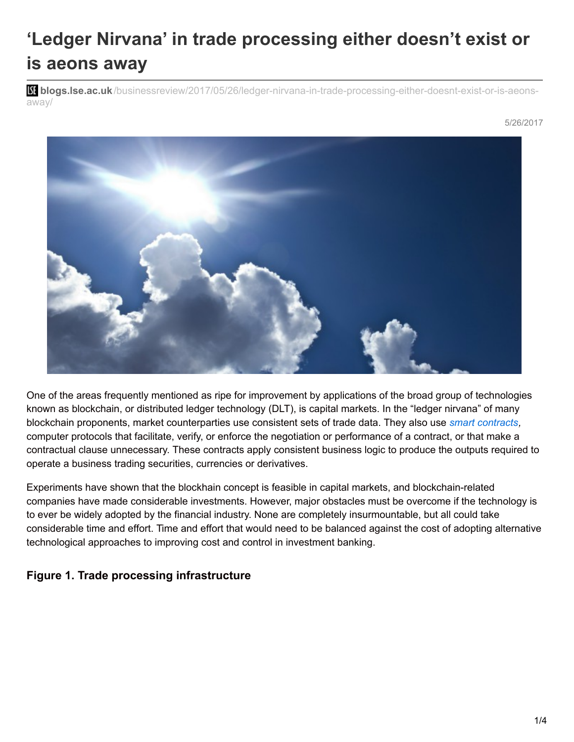## **'Ledger Nirvana' in trade processing either doesn't exist or is aeons away**

**blogs.lse.ac.uk**[/businessreview/2017/05/26/ledger-nirvana-in-trade-processing-either-doesnt-exist-or-is-aeons](http://blogs.lse.ac.uk/businessreview/2017/05/26/ledger-nirvana-in-trade-processing-either-doesnt-exist-or-is-aeons-away/)away/



One of the areas frequently mentioned as ripe for improvement by applications of the broad group of technologies known as blockchain, or distributed ledger technology (DLT), is capital markets. In the "ledger nirvana" of many blockchain proponents, market counterparties use consistent sets of trade data. They also use *smart [contracts](https://en.wikipedia.org/wiki/Smart_contract),* computer protocols that facilitate, verify, or enforce the negotiation or performance of a contract, or that make a contractual clause unnecessary. These contracts apply consistent business logic to produce the outputs required to operate a business trading securities, currencies or derivatives.

Experiments have shown that the blockhain concept is feasible in capital markets, and blockchain-related companies have made considerable investments. However, major obstacles must be overcome if the technology is to ever be widely adopted by the financial industry. None are completely insurmountable, but all could take considerable time and effort. Time and effort that would need to be balanced against the cost of adopting alternative technological approaches to improving cost and control in investment banking.

## **Figure 1. Trade processing infrastructure**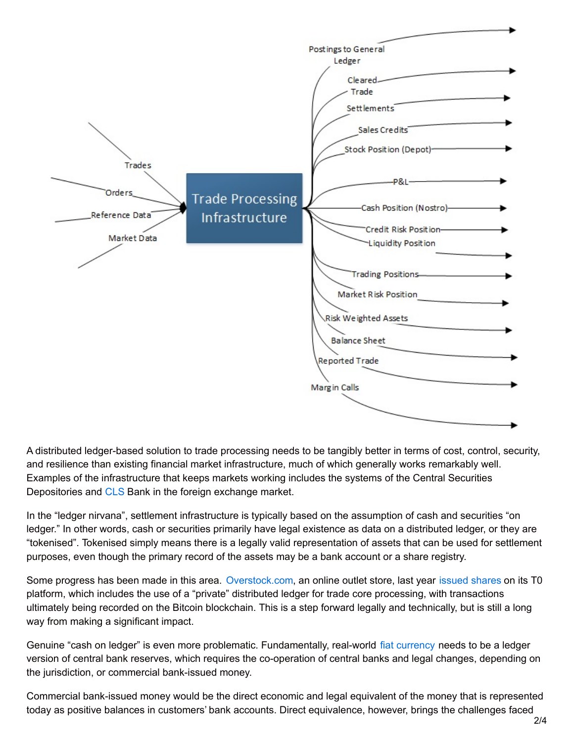

A distributed ledger-based solution to trade processing needs to be tangibly better in terms of cost, control, security, and resilience than existing financial market infrastructure, much of which generally works remarkably well. Examples of the infrastructure that keeps markets working includes the systems of the Central Securities Depositories and [CLS](https://www.cls-group.com/Pages/default.aspx) Bank in the foreign exchange market.

In the "ledger nirvana", settlement infrastructure is typically based on the assumption of cash and securities "on ledger." In other words, cash or securities primarily have legal existence as data on a distributed ledger, or they are "tokenised". Tokenised simply means there is a legally valid representation of assets that can be used for settlement purposes, even though the primary record of the assets may be a bank account or a share registry.

Some progress has been made in this area. [Overstock.com](https://www.overstock.com/), an online outlet store, last year [issued](https://globenewswire.com/news-release/2016/10/25/882695/0/en/Overstock-com-Announces-Rights-Offering-Including-Blockchain-Shares-on-t0-Platform.html) shares on its T0 platform, which includes the use of a "private" distributed ledger for trade core processing, with transactions ultimately being recorded on the Bitcoin blockchain. This is a step forward legally and technically, but is still a long way from making a significant impact.

Genuine "cash on ledger" is even more problematic. Fundamentally, real-world fiat [currency](https://en.oxforddictionaries.com/definition/fiat_money) needs to be a ledger version of central bank reserves, which requires the co-operation of central banks and legal changes, depending on the jurisdiction, or commercial bank-issued money.

Commercial bank-issued money would be the direct economic and legal equivalent of the money that is represented today as positive balances in customers' bank accounts. Direct equivalence, however, brings the challenges faced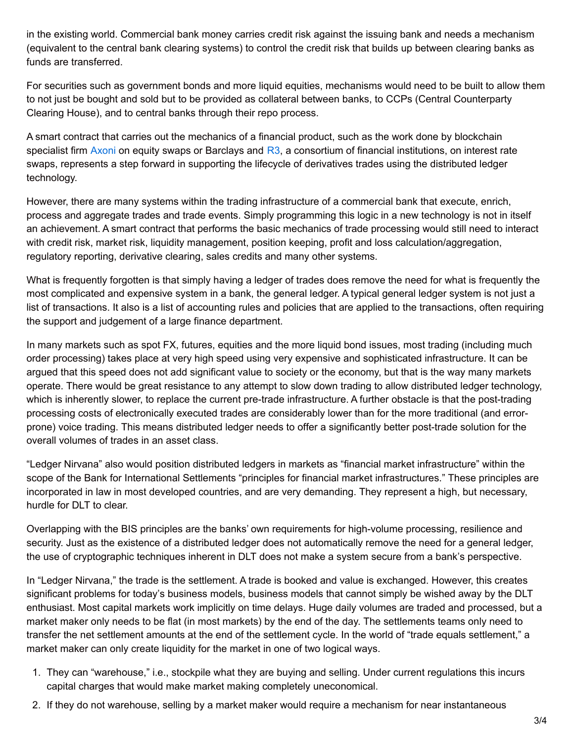in the existing world. Commercial bank money carries credit risk against the issuing bank and needs a mechanism (equivalent to the central bank clearing systems) to control the credit risk that builds up between clearing banks as funds are transferred.

For securities such as government bonds and more liquid equities, mechanisms would need to be built to allow them to not just be bought and sold but to be provided as collateral between banks, to CCPs (Central Counterparty Clearing House), and to central banks through their repo process.

A smart contract that carries out the mechanics of a financial product, such as the work done by blockchain specialist firm [Axoni](https://axoni.com/) on equity swaps or Barclays and  $R3$ , a consortium of financial institutions, on interest rate swaps, represents a step forward in supporting the lifecycle of derivatives trades using the distributed ledger technology.

However, there are many systems within the trading infrastructure of a commercial bank that execute, enrich, process and aggregate trades and trade events. Simply programming this logic in a new technology is not in itself an achievement. A smart contract that performs the basic mechanics of trade processing would still need to interact with credit risk, market risk, liquidity management, position keeping, profit and loss calculation/aggregation, regulatory reporting, derivative clearing, sales credits and many other systems.

What is frequently forgotten is that simply having a ledger of trades does remove the need for what is frequently the most complicated and expensive system in a bank, the general ledger. A typical general ledger system is not just a list of transactions. It also is a list of accounting rules and policies that are applied to the transactions, often requiring the support and judgement of a large finance department.

In many markets such as spot FX, futures, equities and the more liquid bond issues, most trading (including much order processing) takes place at very high speed using very expensive and sophisticated infrastructure. It can be argued that this speed does not add significant value to society or the economy, but that is the way many markets operate. There would be great resistance to any attempt to slow down trading to allow distributed ledger technology, which is inherently slower, to replace the current pre-trade infrastructure. A further obstacle is that the post-trading processing costs of electronically executed trades are considerably lower than for the more traditional (and errorprone) voice trading. This means distributed ledger needs to offer a significantly better post-trade solution for the overall volumes of trades in an asset class.

"Ledger Nirvana" also would position distributed ledgers in markets as "financial market infrastructure" within the scope of the Bank for International Settlements "principles for financial market infrastructures." These principles are incorporated in law in most developed countries, and are very demanding. They represent a high, but necessary, hurdle for DLT to clear.

Overlapping with the BIS principles are the banks' own requirements for high-volume processing, resilience and security. Just as the existence of a distributed ledger does not automatically remove the need for a general ledger, the use of cryptographic techniques inherent in DLT does not make a system secure from a bank's perspective.

In "Ledger Nirvana," the trade is the settlement. A trade is booked and value is exchanged. However, this creates significant problems for today's business models, business models that cannot simply be wished away by the DLT enthusiast. Most capital markets work implicitly on time delays. Huge daily volumes are traded and processed, but a market maker only needs to be flat (in most markets) by the end of the day. The settlements teams only need to transfer the net settlement amounts at the end of the settlement cycle. In the world of "trade equals settlement," a market maker can only create liquidity for the market in one of two logical ways.

- 1. They can "warehouse," i.e., stockpile what they are buying and selling. Under current regulations this incurs capital charges that would make market making completely uneconomical.
- 2. If they do not warehouse, selling by a market maker would require a mechanism for near instantaneous